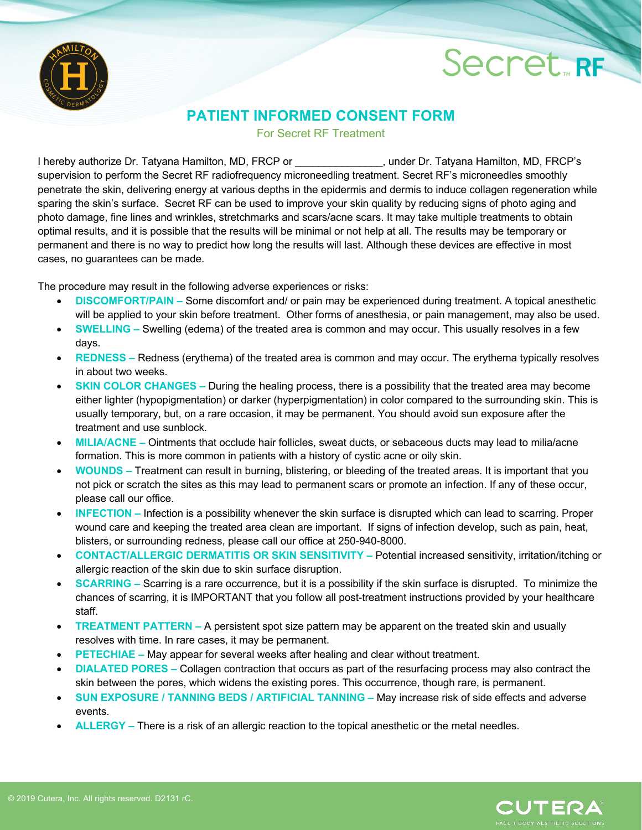

## Secret.RF

## **PATIENT INFORMED CONSENT FORM**

For Secret RF Treatment

I hereby authorize Dr. Tatyana Hamilton, MD, FRCP or \_\_\_\_\_\_\_\_\_\_\_\_\_\_\_, under Dr. Tatyana Hamilton, MD, FRCP's supervision to perform the Secret RF radiofrequency microneedling treatment. Secret RF's microneedles smoothly penetrate the skin, delivering energy at various depths in the epidermis and dermis to induce collagen regeneration while sparing the skin's surface. Secret RF can be used to improve your skin quality by reducing signs of photo aging and photo damage, fine lines and wrinkles, stretchmarks and scars/acne scars. It may take multiple treatments to obtain optimal results, and it is possible that the results will be minimal or not help at all. The results may be temporary or permanent and there is no way to predict how long the results will last. Although these devices are effective in most cases, no guarantees can be made.

The procedure may result in the following adverse experiences or risks:

- **DISCOMFORT/PAIN –** Some discomfort and/ or pain may be experienced during treatment. A topical anesthetic will be applied to your skin before treatment. Other forms of anesthesia, or pain management, may also be used.
- **SWELLING** Swelling (edema) of the treated area is common and may occur. This usually resolves in a few days.
- **REDNESS –** Redness (erythema) of the treated area is common and may occur. The erythema typically resolves in about two weeks.
- **SKIN COLOR CHANGES –** During the healing process, there is a possibility that the treated area may become either lighter (hypopigmentation) or darker (hyperpigmentation) in color compared to the surrounding skin. This is usually temporary, but, on a rare occasion, it may be permanent. You should avoid sun exposure after the treatment and use sunblock.
- **MILIA/ACNE –** Ointments that occlude hair follicles, sweat ducts, or sebaceous ducts may lead to milia/acne formation. This is more common in patients with a history of cystic acne or oily skin.
- **WOUNDS –** Treatment can result in burning, blistering, or bleeding of the treated areas. It is important that you not pick or scratch the sites as this may lead to permanent scars or promote an infection. If any of these occur, please call our office.
- **INFECTION –** Infection is a possibility whenever the skin surface is disrupted which can lead to scarring. Proper wound care and keeping the treated area clean are important. If signs of infection develop, such as pain, heat, blisters, or surrounding redness, please call our office at 250-940-8000.
- **CONTACT/ALLERGIC DERMATITIS OR SKIN SENSITIVITY –** Potential increased sensitivity, irritation/itching or allergic reaction of the skin due to skin surface disruption.
- **SCARRING –** Scarring is a rare occurrence, but it is a possibility if the skin surface is disrupted. To minimize the chances of scarring, it is IMPORTANT that you follow all post-treatment instructions provided by your healthcare staff.
- **TREATMENT PATTERN** A persistent spot size pattern may be apparent on the treated skin and usually resolves with time. In rare cases, it may be permanent.
- **PETECHIAE –** May appear for several weeks after healing and clear without treatment.
- **DIALATED PORES –** Collagen contraction that occurs as part of the resurfacing process may also contract the skin between the pores, which widens the existing pores. This occurrence, though rare, is permanent.
- **SUN EXPOSURE / TANNING BEDS / ARTIFICIAL TANNING –** May increase risk of side effects and adverse events.
- **ALLERGY –** There is a risk of an allergic reaction to the topical anesthetic or the metal needles.